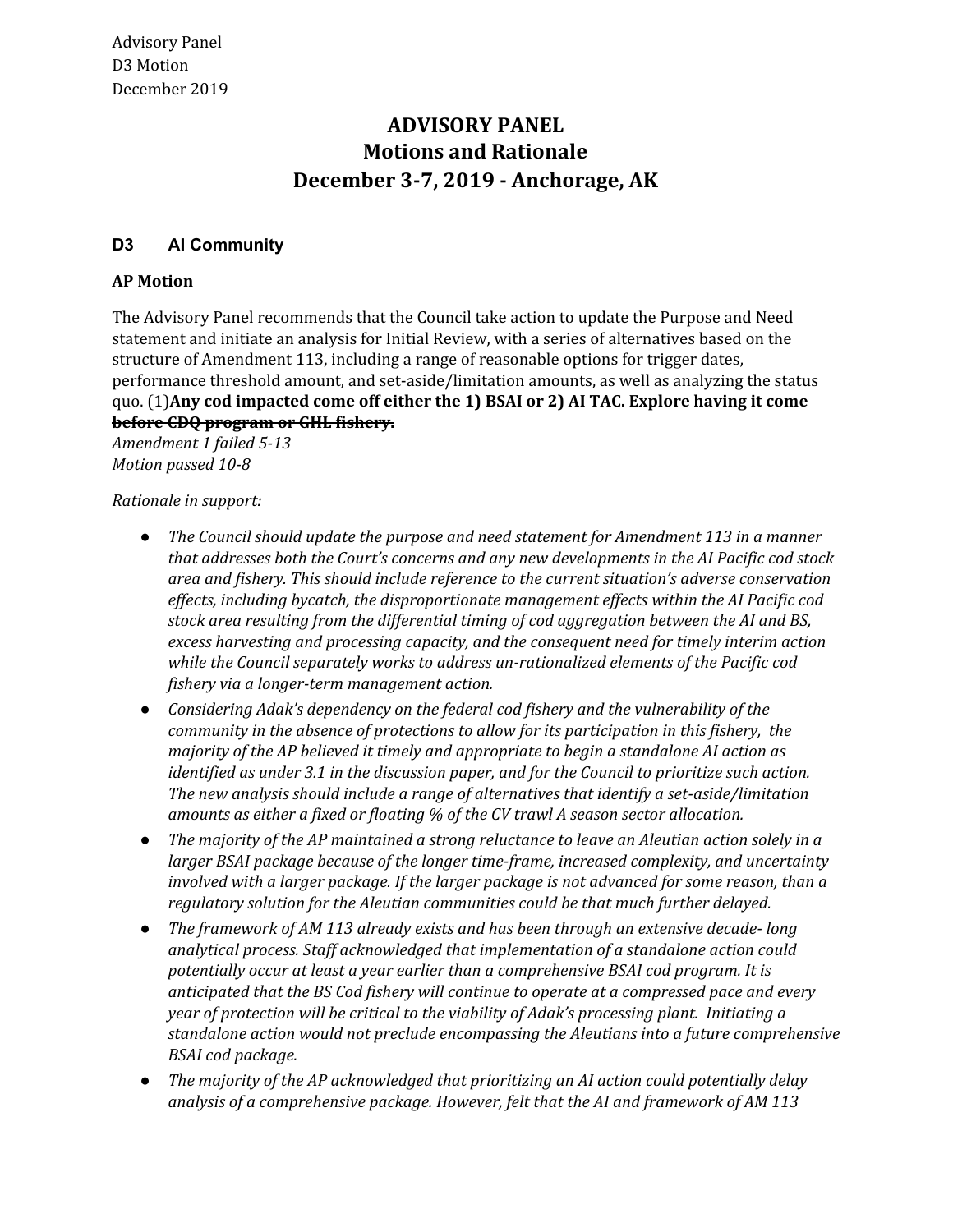# **Motions and Rationale December 3-7, 2019 - Anchorage, AK ADVISORY PANEL**

## **D3 AI Community**

### **AP Motion**

 The Advisory Panel recommends that the Council take action to update the Purpose and Need statement and initiate an analysis for Initial Review, with a series of alternatives based on the structure of Amendment 113, including a range of reasonable options for trigger dates, performance threshold amount, and set-aside/limitation amounts, as well as analyzing the status  quo. (1)**Any cod impacted come off either the 1) BSAI or 2) AI TAC. Explore having it come before CDQ program or GHL fishery.**

 *Amendment 1 failed 5-13 Motion passed 10-8*

#### *Rationale in support:*

- *● The Council should update the purpose and need statement for Amendment 113 in a manner that addresses both the Court's concerns and any new developments in the AI Pacific cod stock area and fishery. This should include reference to the current situation's adverse conservation effects, including bycatch, the disproportionate management effects within the AI Pacific cod stock area resulting from the differential timing of cod aggregation between the AI and BS, excess harvesting and processing capacity, and the consequent need for timely interim action while the Council separately works to address un-rationalized elements of the Pacific cod fishery via a longer-term management action.*
- *● Considering Adak's dependency on the federal cod fishery and the vulnerability of the community in the absence of protections to allow for its participation in this fishery, the majority of the AP believed it timely and appropriate to begin a standalone AI action as identified as under 3.1 in the discussion paper, and for the Council to prioritize such action. The new analysis should include a range of alternatives that identify a set-aside/limitation amounts as either a fixed or floating % of the CV trawl A season sector allocation.*
- The majority of the AP maintained a strong reluctance to leave an Aleutian action solely in a  *larger BSAI package because of the longer time-frame, increased complexity, and uncertainty involved with a larger package. If the larger package is not advanced for some reason, than a regulatory solution for the Aleutian communities could be that much further delayed.*
- *● The framework of AM 113 already exists and has been through an extensive decade- long analytical process. Staff acknowledged that implementation of a standalone action could potentially occur at least a year earlier than a comprehensive BSAI cod program. It is anticipated that the BS Cod fishery will continue to operate at a compressed pace and every year of protection will be critical to the viability of Adak's processing plant. Initiating a standalone action would not preclude encompassing the Aleutians into a future comprehensive BSAI cod package.*
- *● The majority of the AP acknowledged that prioritizing an AI action could potentially delay analysis of a comprehensive package. However, felt that the AI and framework of AM 113*